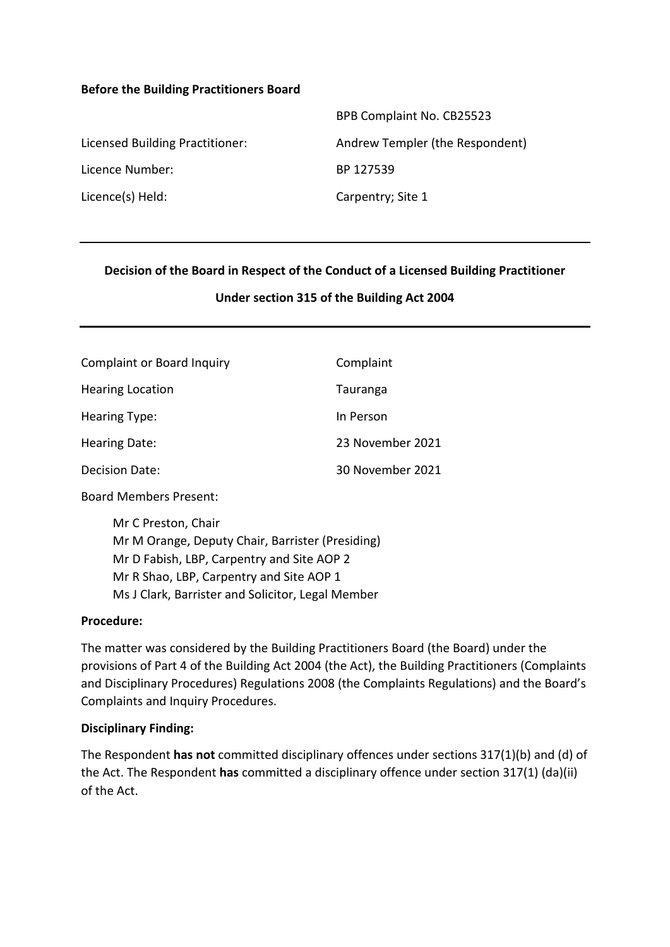#### **Before the Building Practitioners Board**

|                                 | BPB Complaint No. CB25523       |
|---------------------------------|---------------------------------|
| Licensed Building Practitioner: | Andrew Templer (the Respondent) |
| Licence Number:                 | BP 127539                       |
| Licence(s) Held:                | Carpentry; Site 1               |

#### **Decision of the Board in Respect of the Conduct of a Licensed Building Practitioner**

#### **Under section 315 of the Building Act 2004**

| <b>Complaint or Board Inquiry</b> | Complaint        |  |
|-----------------------------------|------------------|--|
| <b>Hearing Location</b>           | Tauranga         |  |
| <b>Hearing Type:</b>              | In Person        |  |
| Hearing Date:                     | 23 November 2021 |  |
| Decision Date:                    | 30 November 2021 |  |

Board Members Present:

Mr C Preston, Chair Mr M Orange, Deputy Chair, Barrister (Presiding) Mr D Fabish, LBP, Carpentry and Site AOP 2 Mr R Shao, LBP, Carpentry and Site AOP 1 Ms J Clark, Barrister and Solicitor, Legal Member

#### **Procedure:**

The matter was considered by the Building Practitioners Board (the Board) under the provisions of Part 4 of the Building Act 2004 (the Act), the Building Practitioners (Complaints and Disciplinary Procedures) Regulations 2008 (the Complaints Regulations) and the Board's Complaints and Inquiry Procedures.

#### **Disciplinary Finding:**

The Respondent **has not** committed disciplinary offences under sections 317(1)(b) and (d) of the Act. The Respondent **has** committed a disciplinary offence under section 317(1) (da)(ii) of the Act.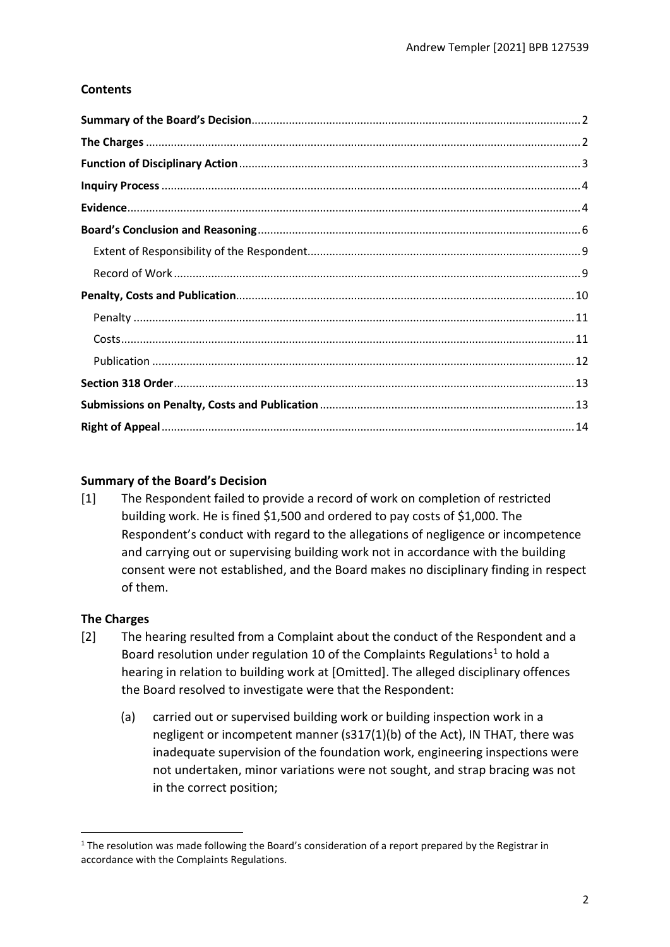# **Contents**

# <span id="page-1-0"></span>**Summary of the Board's Decision**

[1] The Respondent failed to provide a record of work on completion of restricted building work. He is fined \$1,500 and ordered to pay costs of \$1,000. The Respondent's conduct with regard to the allegations of negligence or incompetence and carrying out or supervising building work not in accordance with the building consent were not established, and the Board makes no disciplinary finding in respect of them.

# <span id="page-1-1"></span>**The Charges**

- [2] The hearing resulted from a Complaint about the conduct of the Respondent and a Board resolution under regulation 10 of the Complaints Regulations<sup>1</sup> to hold a hearing in relation to building work at [Omitted]. The alleged disciplinary offences the Board resolved to investigate were that the Respondent:
	- (a) carried out or supervised building work or building inspection work in a negligent or incompetent manner (s317(1)(b) of the Act), IN THAT, there was inadequate supervision of the foundation work, engineering inspections were not undertaken, minor variations were not sought, and strap bracing was not in the correct position;

<span id="page-1-2"></span> $1$  The resolution was made following the Board's consideration of a report prepared by the Registrar in accordance with the Complaints Regulations.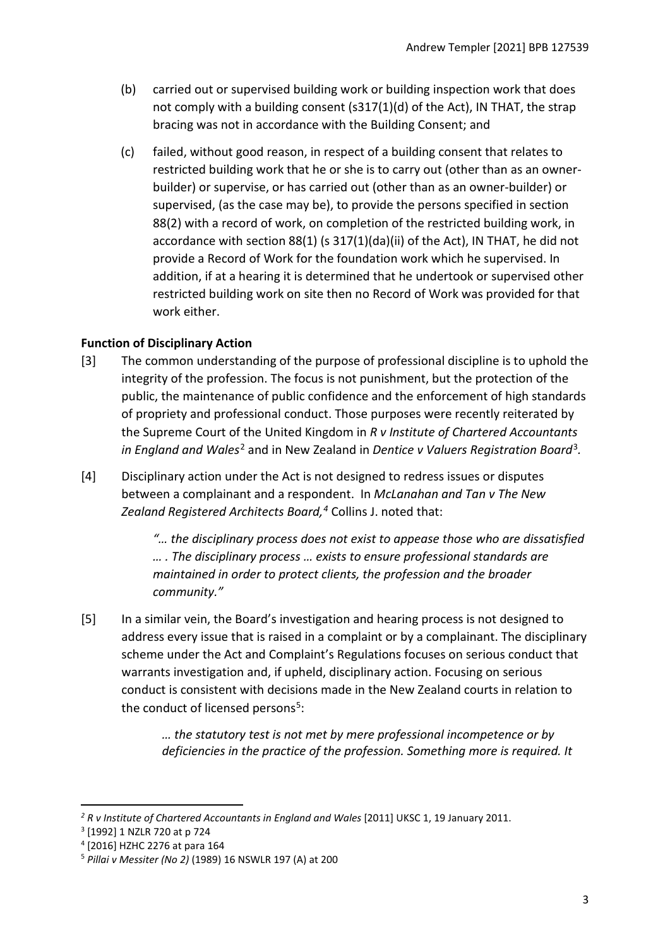- (b) carried out or supervised building work or building inspection work that does not comply with a building consent (s317(1)(d) of the Act), IN THAT, the strap bracing was not in accordance with the Building Consent; and
- (c) failed, without good reason, in respect of a building consent that relates to restricted building work that he or she is to carry out (other than as an ownerbuilder) or supervise, or has carried out (other than as an owner-builder) or supervised, (as the case may be), to provide the persons specified in section 88(2) with a record of work, on completion of the restricted building work, in accordance with section  $88(1)$  (s  $317(1)(da)(ii)$  of the Act), IN THAT, he did not provide a Record of Work for the foundation work which he supervised. In addition, if at a hearing it is determined that he undertook or supervised other restricted building work on site then no Record of Work was provided for that work either.

# <span id="page-2-0"></span>**Function of Disciplinary Action**

- [3] The common understanding of the purpose of professional discipline is to uphold the integrity of the profession. The focus is not punishment, but the protection of the public, the maintenance of public confidence and the enforcement of high standards of propriety and professional conduct. Those purposes were recently reiterated by the Supreme Court of the United Kingdom in *R v Institute of Chartered Accountants in England and Wales*[2](#page-2-1) and in New Zealand in *Dentice v Valuers Registration Board*[3](#page-2-2)*.*
- [4] Disciplinary action under the Act is not designed to redress issues or disputes between a complainant and a respondent. In *McLanahan and Tan v The New Zealand Registered Architects Board, [4](#page-2-3)* Collins J. noted that:

*"… the disciplinary process does not exist to appease those who are dissatisfied … . The disciplinary process … exists to ensure professional standards are maintained in order to protect clients, the profession and the broader community."*

[5] In a similar vein, the Board's investigation and hearing process is not designed to address every issue that is raised in a complaint or by a complainant. The disciplinary scheme under the Act and Complaint's Regulations focuses on serious conduct that warrants investigation and, if upheld, disciplinary action. Focusing on serious conduct is consistent with decisions made in the New Zealand courts in relation to the conduct of licensed persons<sup>[5](#page-2-4)</sup>:

> *… the statutory test is not met by mere professional incompetence or by deficiencies in the practice of the profession. Something more is required. It*

<span id="page-2-1"></span><sup>&</sup>lt;sup>2</sup> R v Institute of Chartered Accountants in England and Wales [2011] UKSC 1, 19 January 2011.

<span id="page-2-2"></span><sup>3</sup> [1992] 1 NZLR 720 at p 724

<span id="page-2-3"></span><sup>4</sup> [2016] HZHC 2276 at para 164

<span id="page-2-4"></span><sup>5</sup> *Pillai v Messiter (No 2)* (1989) 16 NSWLR 197 (A) at 200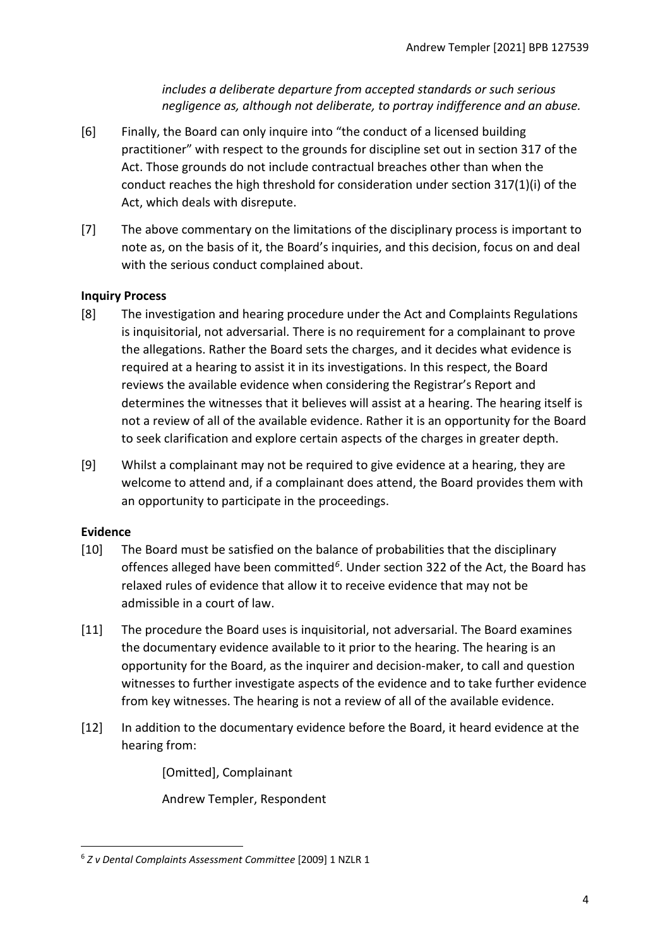*includes a deliberate departure from accepted standards or such serious negligence as, although not deliberate, to portray indifference and an abuse.*

- [6] Finally, the Board can only inquire into "the conduct of a licensed building practitioner" with respect to the grounds for discipline set out in section 317 of the Act. Those grounds do not include contractual breaches other than when the conduct reaches the high threshold for consideration under section 317(1)(i) of the Act, which deals with disrepute.
- [7] The above commentary on the limitations of the disciplinary process is important to note as, on the basis of it, the Board's inquiries, and this decision, focus on and deal with the serious conduct complained about.

# <span id="page-3-0"></span>**Inquiry Process**

- [8] The investigation and hearing procedure under the Act and Complaints Regulations is inquisitorial, not adversarial. There is no requirement for a complainant to prove the allegations. Rather the Board sets the charges, and it decides what evidence is required at a hearing to assist it in its investigations. In this respect, the Board reviews the available evidence when considering the Registrar's Report and determines the witnesses that it believes will assist at a hearing. The hearing itself is not a review of all of the available evidence. Rather it is an opportunity for the Board to seek clarification and explore certain aspects of the charges in greater depth.
- [9] Whilst a complainant may not be required to give evidence at a hearing, they are welcome to attend and, if a complainant does attend, the Board provides them with an opportunity to participate in the proceedings.

# <span id="page-3-1"></span>**Evidence**

- [10] The Board must be satisfied on the balance of probabilities that the disciplinary offences alleged have been committed*[6](#page-3-2)*. Under section 322 of the Act, the Board has relaxed rules of evidence that allow it to receive evidence that may not be admissible in a court of law.
- [11] The procedure the Board uses is inquisitorial, not adversarial. The Board examines the documentary evidence available to it prior to the hearing. The hearing is an opportunity for the Board, as the inquirer and decision-maker, to call and question witnesses to further investigate aspects of the evidence and to take further evidence from key witnesses. The hearing is not a review of all of the available evidence.
- [12] In addition to the documentary evidence before the Board, it heard evidence at the hearing from:

[Omitted], Complainant

Andrew Templer, Respondent

<span id="page-3-2"></span><sup>6</sup> *Z v Dental Complaints Assessment Committee* [2009] 1 NZLR 1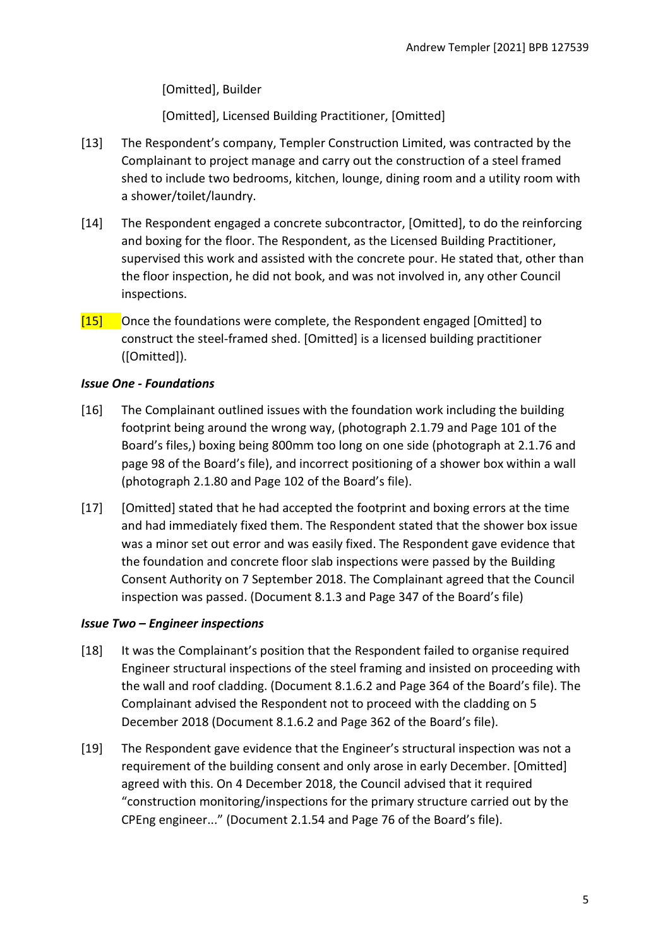[Omitted], Builder

[Omitted], Licensed Building Practitioner, [Omitted]

- [13] The Respondent's company, Templer Construction Limited, was contracted by the Complainant to project manage and carry out the construction of a steel framed shed to include two bedrooms, kitchen, lounge, dining room and a utility room with a shower/toilet/laundry.
- [14] The Respondent engaged a concrete subcontractor, [Omitted], to do the reinforcing and boxing for the floor. The Respondent, as the Licensed Building Practitioner, supervised this work and assisted with the concrete pour. He stated that, other than the floor inspection, he did not book, and was not involved in, any other Council inspections.
- [15] Once the foundations were complete, the Respondent engaged [Omitted] to construct the steel-framed shed. [Omitted] is a licensed building practitioner ([Omitted]).

# *Issue One - Foundations*

- [16] The Complainant outlined issues with the foundation work including the building footprint being around the wrong way, (photograph 2.1.79 and Page 101 of the Board's files,) boxing being 800mm too long on one side (photograph at 2.1.76 and page 98 of the Board's file), and incorrect positioning of a shower box within a wall (photograph 2.1.80 and Page 102 of the Board's file).
- [17] [Omitted] stated that he had accepted the footprint and boxing errors at the time and had immediately fixed them. The Respondent stated that the shower box issue was a minor set out error and was easily fixed. The Respondent gave evidence that the foundation and concrete floor slab inspections were passed by the Building Consent Authority on 7 September 2018. The Complainant agreed that the Council inspection was passed. (Document 8.1.3 and Page 347 of the Board's file)

# *Issue Two – Engineer inspections*

- [18] It was the Complainant's position that the Respondent failed to organise required Engineer structural inspections of the steel framing and insisted on proceeding with the wall and roof cladding. (Document 8.1.6.2 and Page 364 of the Board's file). The Complainant advised the Respondent not to proceed with the cladding on 5 December 2018 (Document 8.1.6.2 and Page 362 of the Board's file).
- [19] The Respondent gave evidence that the Engineer's structural inspection was not a requirement of the building consent and only arose in early December. [Omitted] agreed with this. On 4 December 2018, the Council advised that it required "construction monitoring/inspections for the primary structure carried out by the CPEng engineer..." (Document 2.1.54 and Page 76 of the Board's file).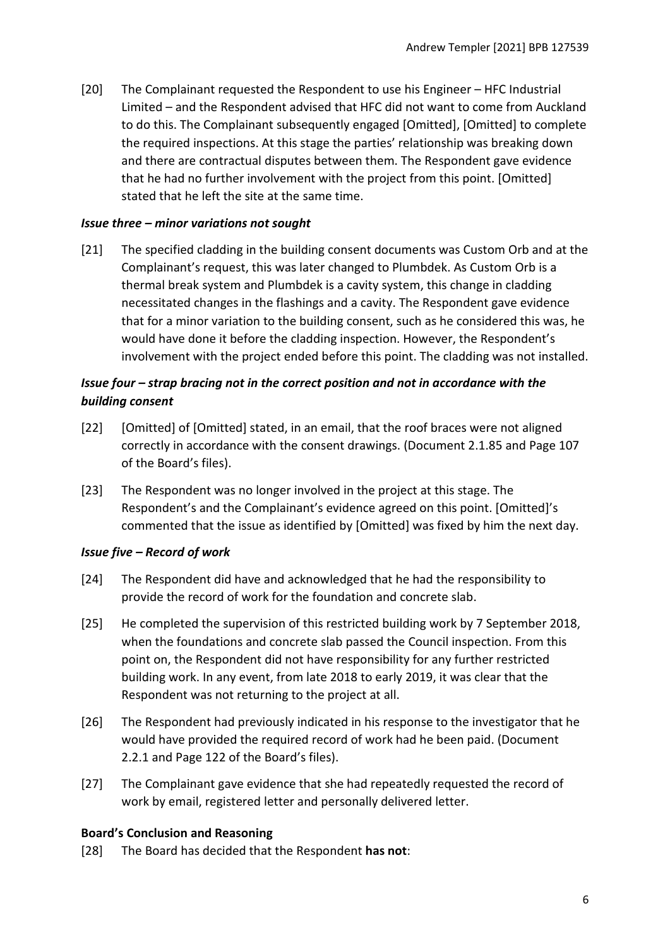[20] The Complainant requested the Respondent to use his Engineer – HFC Industrial Limited – and the Respondent advised that HFC did not want to come from Auckland to do this. The Complainant subsequently engaged [Omitted], [Omitted] to complete the required inspections. At this stage the parties' relationship was breaking down and there are contractual disputes between them. The Respondent gave evidence that he had no further involvement with the project from this point. [Omitted] stated that he left the site at the same time.

#### *Issue three – minor variations not sought*

[21] The specified cladding in the building consent documents was Custom Orb and at the Complainant's request, this was later changed to Plumbdek. As Custom Orb is a thermal break system and Plumbdek is a cavity system, this change in cladding necessitated changes in the flashings and a cavity. The Respondent gave evidence that for a minor variation to the building consent, such as he considered this was, he would have done it before the cladding inspection. However, the Respondent's involvement with the project ended before this point. The cladding was not installed.

# *Issue four – strap bracing not in the correct position and not in accordance with the building consent*

- [22] [Omitted] of [Omitted] stated, in an email, that the roof braces were not aligned correctly in accordance with the consent drawings. (Document 2.1.85 and Page 107 of the Board's files).
- [23] The Respondent was no longer involved in the project at this stage. The Respondent's and the Complainant's evidence agreed on this point. [Omitted]'s commented that the issue as identified by [Omitted] was fixed by him the next day.

# *Issue five – Record of work*

- [24] The Respondent did have and acknowledged that he had the responsibility to provide the record of work for the foundation and concrete slab.
- [25] He completed the supervision of this restricted building work by 7 September 2018, when the foundations and concrete slab passed the Council inspection. From this point on, the Respondent did not have responsibility for any further restricted building work. In any event, from late 2018 to early 2019, it was clear that the Respondent was not returning to the project at all.
- [26] The Respondent had previously indicated in his response to the investigator that he would have provided the required record of work had he been paid. (Document 2.2.1 and Page 122 of the Board's files).
- [27] The Complainant gave evidence that she had repeatedly requested the record of work by email, registered letter and personally delivered letter.

#### <span id="page-5-0"></span>**Board's Conclusion and Reasoning**

[28] The Board has decided that the Respondent **has not**: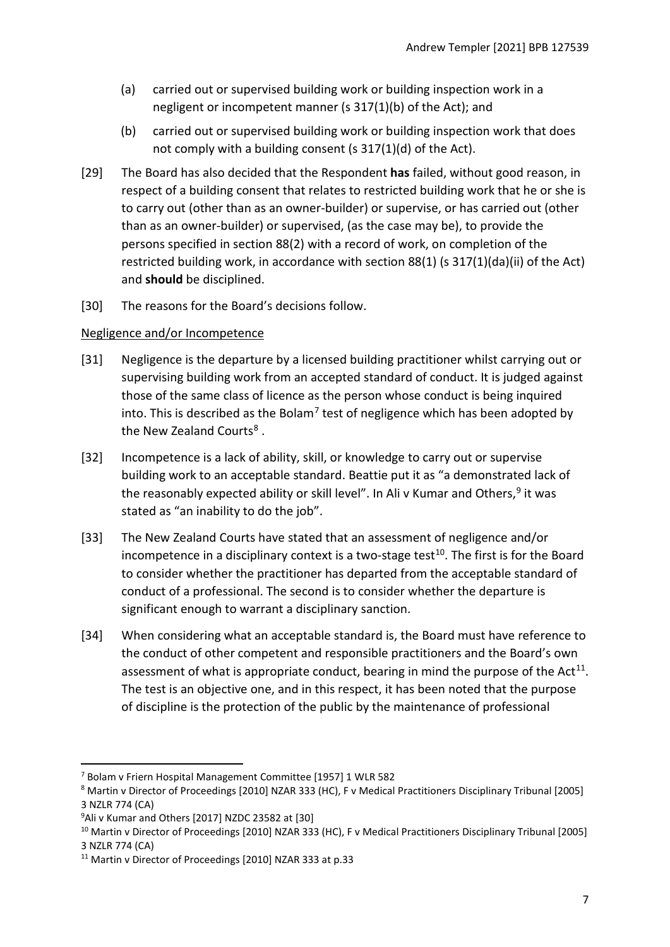- (a) carried out or supervised building work or building inspection work in a negligent or incompetent manner (s 317(1)(b) of the Act); and
- (b) carried out or supervised building work or building inspection work that does not comply with a building consent (s 317(1)(d) of the Act).
- [29] The Board has also decided that the Respondent **has** failed, without good reason, in respect of a building consent that relates to restricted building work that he or she is to carry out (other than as an owner-builder) or supervise, or has carried out (other than as an owner-builder) or supervised, (as the case may be), to provide the persons specified in section 88(2) with a record of work, on completion of the restricted building work, in accordance with section 88(1) (s 317(1)(da)(ii) of the Act) and **should** be disciplined.
- [30] The reasons for the Board's decisions follow.

# Negligence and/or Incompetence

- [31] Negligence is the departure by a licensed building practitioner whilst carrying out or supervising building work from an accepted standard of conduct. It is judged against those of the same class of licence as the person whose conduct is being inquired into. This is described as the Bolam<sup>[7](#page-6-0)</sup> test of negligence which has been adopted by the New Zealand Courts<sup>[8](#page-6-1)</sup>.
- [32] Incompetence is a lack of ability, skill, or knowledge to carry out or supervise building work to an acceptable standard. Beattie put it as "a demonstrated lack of the reasonably expected ability or skill level". In Ali v Kumar and Others,  $9$  it was stated as "an inability to do the job".
- [33] The New Zealand Courts have stated that an assessment of negligence and/or incompetence in a disciplinary context is a two-stage test<sup>[10](#page-6-3)</sup>. The first is for the Board to consider whether the practitioner has departed from the acceptable standard of conduct of a professional. The second is to consider whether the departure is significant enough to warrant a disciplinary sanction.
- [34] When considering what an acceptable standard is, the Board must have reference to the conduct of other competent and responsible practitioners and the Board's own assessment of what is appropriate conduct, bearing in mind the purpose of the  $Act^{11}$  $Act^{11}$  $Act^{11}$ . The test is an objective one, and in this respect, it has been noted that the purpose of discipline is the protection of the public by the maintenance of professional

<span id="page-6-0"></span><sup>7</sup> Bolam v Friern Hospital Management Committee [1957] 1 WLR 582

<span id="page-6-1"></span><sup>8</sup> Martin v Director of Proceedings [2010] NZAR 333 (HC), F v Medical Practitioners Disciplinary Tribunal [2005] 3 NZLR 774 (CA)

<span id="page-6-2"></span><sup>9</sup> Ali v Kumar and Others [2017] NZDC 23582 at [30]

<span id="page-6-3"></span><sup>&</sup>lt;sup>10</sup> Martin v Director of Proceedings [2010] NZAR 333 (HC), F v Medical Practitioners Disciplinary Tribunal [2005] 3 NZLR 774 (CA)

<span id="page-6-4"></span><sup>11</sup> Martin v Director of Proceedings [2010] NZAR 333 at p.33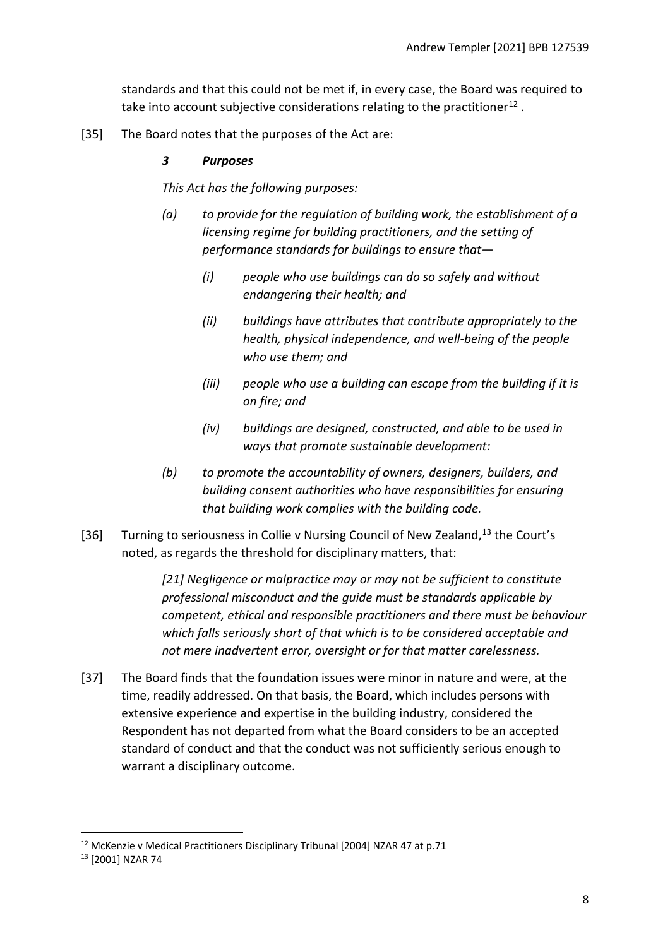standards and that this could not be met if, in every case, the Board was required to take into account subjective considerations relating to the practitioner<sup>[12](#page-7-0)</sup>.

[35] The Board notes that the purposes of the Act are:

## *3 Purposes*

*This Act has the following purposes:*

- *(a) to provide for the regulation of building work, the establishment of a licensing regime for building practitioners, and the setting of performance standards for buildings to ensure that—* 
	- *(i) people who use buildings can do so safely and without endangering their health; and*
	- *(ii) buildings have attributes that contribute appropriately to the health, physical independence, and well-being of the people who use them; and*
	- *(iii) people who use a building can escape from the building if it is on fire; and*
	- *(iv) buildings are designed, constructed, and able to be used in ways that promote sustainable development:*
- *(b) to promote the accountability of owners, designers, builders, and building consent authorities who have responsibilities for ensuring that building work complies with the building code.*
- [36] Turning to seriousness in Collie v Nursing Council of New Zealand,<sup>[13](#page-7-1)</sup> the Court's noted, as regards the threshold for disciplinary matters, that:

*[21] Negligence or malpractice may or may not be sufficient to constitute professional misconduct and the guide must be standards applicable by competent, ethical and responsible practitioners and there must be behaviour which falls seriously short of that which is to be considered acceptable and not mere inadvertent error, oversight or for that matter carelessness.* 

[37] The Board finds that the foundation issues were minor in nature and were, at the time, readily addressed. On that basis, the Board, which includes persons with extensive experience and expertise in the building industry, considered the Respondent has not departed from what the Board considers to be an accepted standard of conduct and that the conduct was not sufficiently serious enough to warrant a disciplinary outcome.

<span id="page-7-0"></span><sup>12</sup> McKenzie v Medical Practitioners Disciplinary Tribunal [2004] NZAR 47 at p.71

<span id="page-7-1"></span><sup>13</sup> [2001] NZAR 74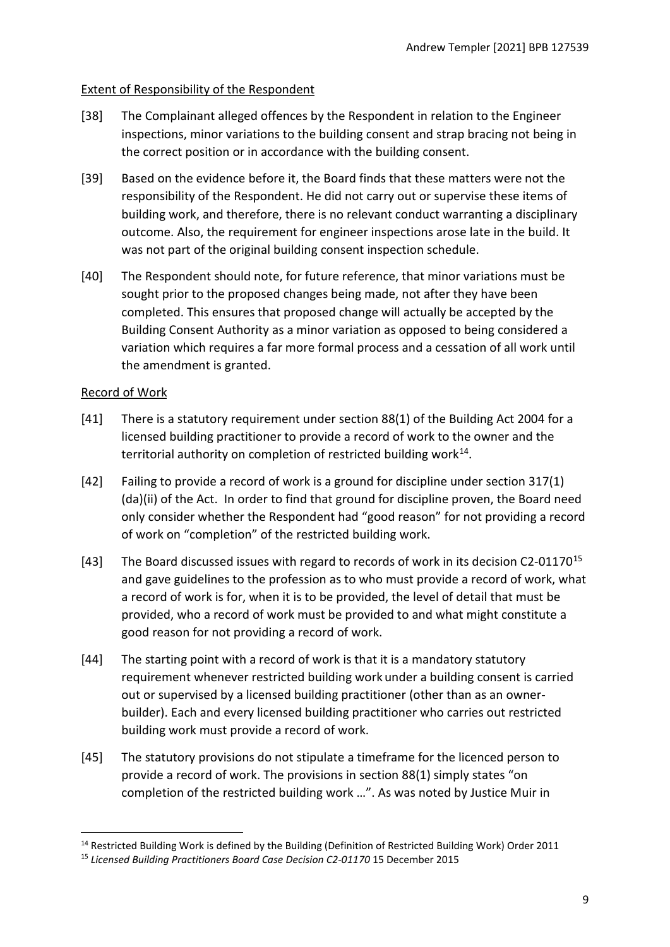## <span id="page-8-0"></span>Extent of Responsibility of the Respondent

- [38] The Complainant alleged offences by the Respondent in relation to the Engineer inspections, minor variations to the building consent and strap bracing not being in the correct position or in accordance with the building consent.
- [39] Based on the evidence before it, the Board finds that these matters were not the responsibility of the Respondent. He did not carry out or supervise these items of building work, and therefore, there is no relevant conduct warranting a disciplinary outcome. Also, the requirement for engineer inspections arose late in the build. It was not part of the original building consent inspection schedule.
- [40] The Respondent should note, for future reference, that minor variations must be sought prior to the proposed changes being made, not after they have been completed. This ensures that proposed change will actually be accepted by the Building Consent Authority as a minor variation as opposed to being considered a variation which requires a far more formal process and a cessation of all work until the amendment is granted.

## <span id="page-8-1"></span>Record of Work

- [41] There is a statutory requirement under section 88(1) of the Building Act 2004 for a licensed building practitioner to provide a record of work to the owner and the territorial authority on completion of restricted building work<sup>14</sup>.
- [42] Failing to provide a record of work is a ground for discipline under section 317(1) (da)(ii) of the Act. In order to find that ground for discipline proven, the Board need only consider whether the Respondent had "good reason" for not providing a record of work on "completion" of the restricted building work.
- [43] The Board discussed issues with regard to records of work in its decision C2-01170<sup>[15](#page-8-3)</sup> and gave guidelines to the profession as to who must provide a record of work, what a record of work is for, when it is to be provided, the level of detail that must be provided, who a record of work must be provided to and what might constitute a good reason for not providing a record of work.
- [44] The starting point with a record of work is that it is a mandatory statutory requirement whenever restricted building work under a building consent is carried out or supervised by a licensed building practitioner (other than as an ownerbuilder). Each and every licensed building practitioner who carries out restricted building work must provide a record of work.
- [45] The statutory provisions do not stipulate a timeframe for the licenced person to provide a record of work. The provisions in section 88(1) simply states "on completion of the restricted building work …". As was noted by Justice Muir in

<span id="page-8-2"></span><sup>&</sup>lt;sup>14</sup> Restricted Building Work is defined by the Building (Definition of Restricted Building Work) Order 2011

<span id="page-8-3"></span><sup>15</sup> *Licensed Building Practitioners Board Case Decision C2-01170* 15 December 2015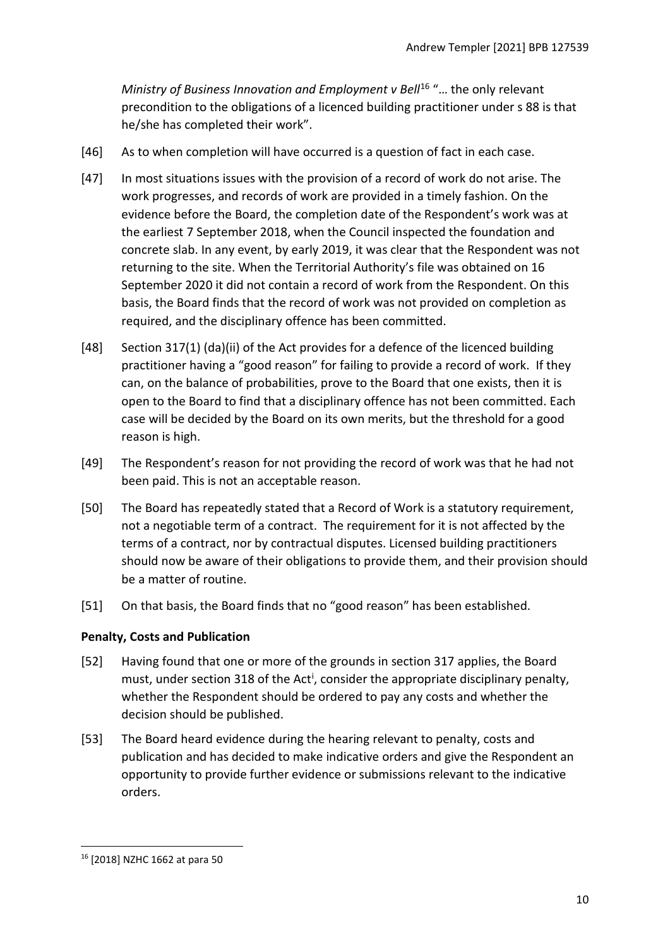*Ministry of Business Innovation and Employment v Bell<sup>[16](#page-9-1)</sup> "... the only relevant* precondition to the obligations of a licenced building practitioner under s 88 is that he/she has completed their work".

- [46] As to when completion will have occurred is a question of fact in each case.
- [47] In most situations issues with the provision of a record of work do not arise. The work progresses, and records of work are provided in a timely fashion. On the evidence before the Board, the completion date of the Respondent's work was at the earliest 7 September 2018, when the Council inspected the foundation and concrete slab. In any event, by early 2019, it was clear that the Respondent was not returning to the site. When the Territorial Authority's file was obtained on 16 September 2020 it did not contain a record of work from the Respondent. On this basis, the Board finds that the record of work was not provided on completion as required, and the disciplinary offence has been committed.
- [48] Section 317(1) (da)(ii) of the Act provides for a defence of the licenced building practitioner having a "good reason" for failing to provide a record of work. If they can, on the balance of probabilities, prove to the Board that one exists, then it is open to the Board to find that a disciplinary offence has not been committed. Each case will be decided by the Board on its own merits, but the threshold for a good reason is high.
- [49] The Respondent's reason for not providing the record of work was that he had not been paid. This is not an acceptable reason.
- [50] The Board has repeatedly stated that a Record of Work is a statutory requirement, not a negotiable term of a contract. The requirement for it is not affected by the terms of a contract, nor by contractual disputes. Licensed building practitioners should now be aware of their obligations to provide them, and their provision should be a matter of routine.
- [51] On that basis, the Board finds that no "good reason" has been established.

# <span id="page-9-0"></span>**Penalty, Costs and Publication**

- [52] Having found that one or more of the grounds in section 317 applies, the Board must, under sect[i](#page-13-1)on 318 of the Act<sup>i</sup>, consider the appropriate disciplinary penalty, whether the Respondent should be ordered to pay any costs and whether the decision should be published.
- [53] The Board heard evidence during the hearing relevant to penalty, costs and publication and has decided to make indicative orders and give the Respondent an opportunity to provide further evidence or submissions relevant to the indicative orders.

<span id="page-9-1"></span><sup>16</sup> [2018] NZHC 1662 at para 50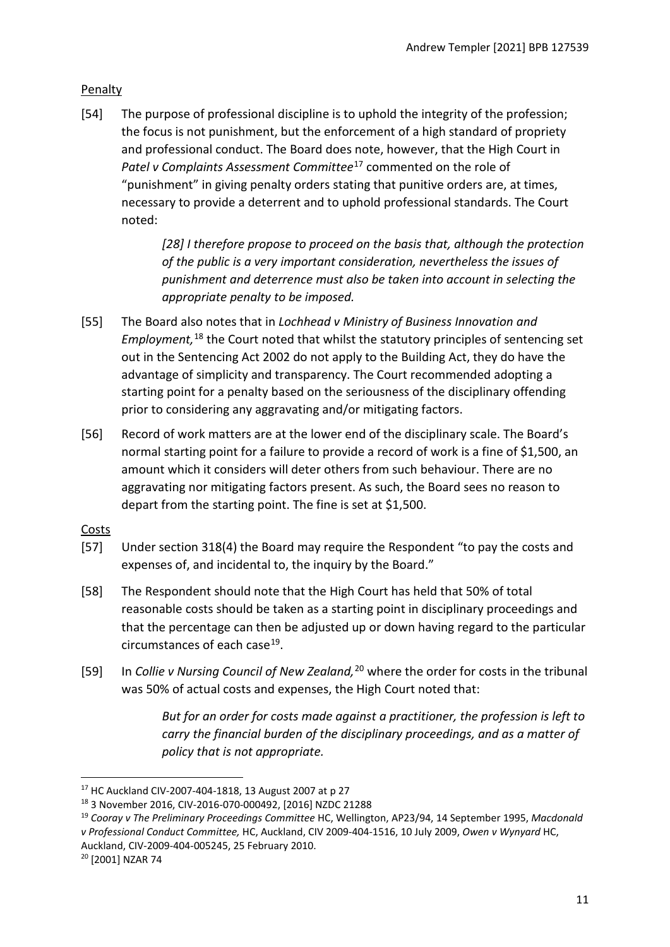# <span id="page-10-0"></span>Penalty

[54] The purpose of professional discipline is to uphold the integrity of the profession; the focus is not punishment, but the enforcement of a high standard of propriety and professional conduct. The Board does note, however, that the High Court in *Patel v Complaints Assessment Committee*[17](#page-10-2) commented on the role of "punishment" in giving penalty orders stating that punitive orders are, at times, necessary to provide a deterrent and to uphold professional standards. The Court noted:

> *[28] I therefore propose to proceed on the basis that, although the protection of the public is a very important consideration, nevertheless the issues of punishment and deterrence must also be taken into account in selecting the appropriate penalty to be imposed.*

- [55] The Board also notes that in *Lochhead v Ministry of Business Innovation and Employment,* [18](#page-10-3) the Court noted that whilst the statutory principles of sentencing set out in the Sentencing Act 2002 do not apply to the Building Act, they do have the advantage of simplicity and transparency. The Court recommended adopting a starting point for a penalty based on the seriousness of the disciplinary offending prior to considering any aggravating and/or mitigating factors.
- [56] Record of work matters are at the lower end of the disciplinary scale. The Board's normal starting point for a failure to provide a record of work is a fine of \$1,500, an amount which it considers will deter others from such behaviour. There are no aggravating nor mitigating factors present. As such, the Board sees no reason to depart from the starting point. The fine is set at \$1,500.

# <span id="page-10-1"></span>**Costs**

- [57] Under section 318(4) the Board may require the Respondent "to pay the costs and expenses of, and incidental to, the inquiry by the Board."
- [58] The Respondent should note that the High Court has held that 50% of total reasonable costs should be taken as a starting point in disciplinary proceedings and that the percentage can then be adjusted up or down having regard to the particular circumstances of each case<sup>19</sup>.
- [59] In *Collie v Nursing Council of New Zealand,*[20](#page-10-5) where the order for costs in the tribunal was 50% of actual costs and expenses, the High Court noted that:

*But for an order for costs made against a practitioner, the profession is left to carry the financial burden of the disciplinary proceedings, and as a matter of policy that is not appropriate.*

<span id="page-10-2"></span><sup>17</sup> HC Auckland CIV-2007-404-1818, 13 August 2007 at p 27

<span id="page-10-3"></span><sup>18</sup> 3 November 2016, CIV-2016-070-000492, [2016] NZDC 21288

<span id="page-10-4"></span><sup>19</sup> *Cooray v The Preliminary Proceedings Committee* HC, Wellington, AP23/94, 14 September 1995, *Macdonald v Professional Conduct Committee,* HC, Auckland, CIV 2009-404-1516, 10 July 2009, *Owen v Wynyard* HC, Auckland, CIV-2009-404-005245, 25 February 2010.<br><sup>20</sup> [2001] NZAR 74

<span id="page-10-5"></span>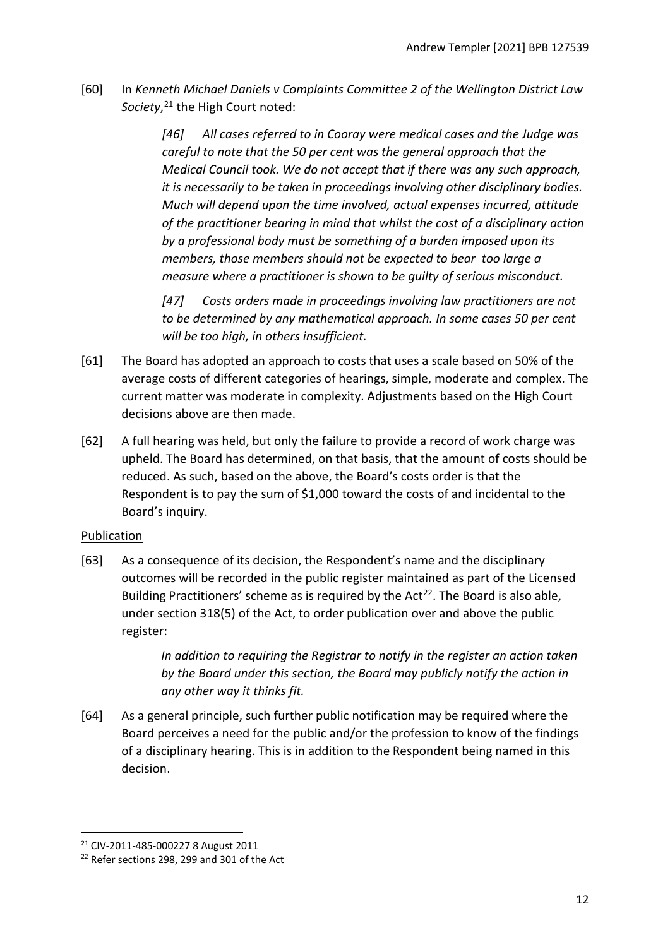[60] In *Kenneth Michael Daniels v Complaints Committee 2 of the Wellington District Law Society*, [21](#page-11-1) the High Court noted:

> *[46] All cases referred to in Cooray were medical cases and the Judge was careful to note that the 50 per cent was the general approach that the Medical Council took. We do not accept that if there was any such approach, it is necessarily to be taken in proceedings involving other disciplinary bodies. Much will depend upon the time involved, actual expenses incurred, attitude of the practitioner bearing in mind that whilst the cost of a disciplinary action by a professional body must be something of a burden imposed upon its members, those members should not be expected to bear too large a measure where a practitioner is shown to be guilty of serious misconduct.*

*[47] Costs orders made in proceedings involving law practitioners are not to be determined by any mathematical approach. In some cases 50 per cent will be too high, in others insufficient.*

- [61] The Board has adopted an approach to costs that uses a scale based on 50% of the average costs of different categories of hearings, simple, moderate and complex. The current matter was moderate in complexity. Adjustments based on the High Court decisions above are then made.
- [62] A full hearing was held, but only the failure to provide a record of work charge was upheld. The Board has determined, on that basis, that the amount of costs should be reduced. As such, based on the above, the Board's costs order is that the Respondent is to pay the sum of \$1,000 toward the costs of and incidental to the Board's inquiry.

# <span id="page-11-0"></span>Publication

[63] As a consequence of its decision, the Respondent's name and the disciplinary outcomes will be recorded in the public register maintained as part of the Licensed Building Practitioners' scheme as is required by the Act<sup>[22](#page-11-2)</sup>. The Board is also able, under section 318(5) of the Act, to order publication over and above the public register:

> *In addition to requiring the Registrar to notify in the register an action taken by the Board under this section, the Board may publicly notify the action in any other way it thinks fit.*

[64] As a general principle, such further public notification may be required where the Board perceives a need for the public and/or the profession to know of the findings of a disciplinary hearing. This is in addition to the Respondent being named in this decision.

<span id="page-11-1"></span><sup>21</sup> CIV-2011-485-000227 8 August 2011

<span id="page-11-2"></span><sup>&</sup>lt;sup>22</sup> Refer sections 298, 299 and 301 of the Act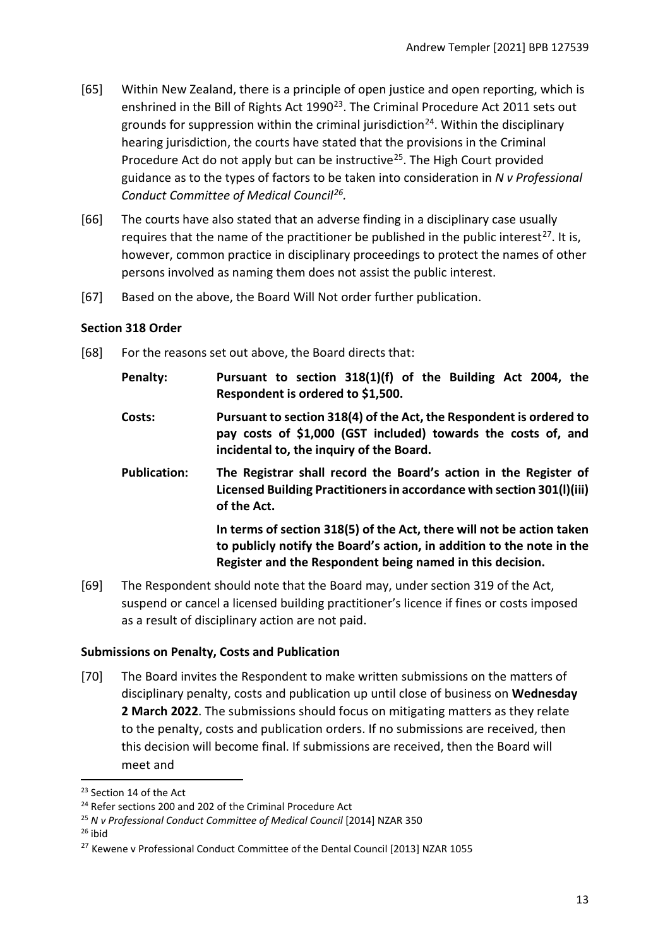- [65] Within New Zealand, there is a principle of open justice and open reporting, which is enshrined in the Bill of Rights Act 1990<sup>23</sup>. The Criminal Procedure Act 2011 sets out grounds for suppression within the criminal jurisdiction<sup>24</sup>. Within the disciplinary hearing jurisdiction, the courts have stated that the provisions in the Criminal Procedure Act do not apply but can be instructive<sup>[25](#page-12-4)</sup>. The High Court provided guidance as to the types of factors to be taken into consideration in *N v Professional Conduct Committee of Medical Council[26](#page-12-5).*
- [66] The courts have also stated that an adverse finding in a disciplinary case usually requires that the name of the practitioner be published in the public interest<sup>[27](#page-12-6)</sup>. It is, however, common practice in disciplinary proceedings to protect the names of other persons involved as naming them does not assist the public interest.
- [67] Based on the above, the Board Will Not order further publication.

## <span id="page-12-0"></span>**Section 318 Order**

[68] For the reasons set out above, the Board directs that:

| Penalty:            | Pursuant to section 318(1)(f) of the Building Act 2004, the<br>Respondent is ordered to \$1,500.                                                                                                            |
|---------------------|-------------------------------------------------------------------------------------------------------------------------------------------------------------------------------------------------------------|
| Costs:              | Pursuant to section 318(4) of the Act, the Respondent is ordered to<br>pay costs of \$1,000 (GST included) towards the costs of, and<br>incidental to, the inquiry of the Board.                            |
| <b>Publication:</b> | The Registrar shall record the Board's action in the Register of<br>Licensed Building Practitioners in accordance with section 301(I)(iii)<br>of the Act.                                                   |
|                     | In terms of section 318(5) of the Act, there will not be action taken<br>to publicly notify the Board's action, in addition to the note in the<br>Register and the Respondent being named in this decision. |

[69] The Respondent should note that the Board may, under section 319 of the Act, suspend or cancel a licensed building practitioner's licence if fines or costs imposed as a result of disciplinary action are not paid.

# <span id="page-12-1"></span>**Submissions on Penalty, Costs and Publication**

[70] The Board invites the Respondent to make written submissions on the matters of disciplinary penalty, costs and publication up until close of business on **Wednesday 2 March 2022**. The submissions should focus on mitigating matters as they relate to the penalty, costs and publication orders. If no submissions are received, then this decision will become final. If submissions are received, then the Board will meet and

<span id="page-12-5"></span> $26$  ibid

<span id="page-12-2"></span><sup>&</sup>lt;sup>23</sup> Section 14 of the Act

<span id="page-12-3"></span><sup>&</sup>lt;sup>24</sup> Refer sections 200 and 202 of the Criminal Procedure Act

<span id="page-12-4"></span><sup>25</sup> *N v Professional Conduct Committee of Medical Council* [2014] NZAR 350

<span id="page-12-6"></span><sup>&</sup>lt;sup>27</sup> Kewene v Professional Conduct Committee of the Dental Council [2013] NZAR 1055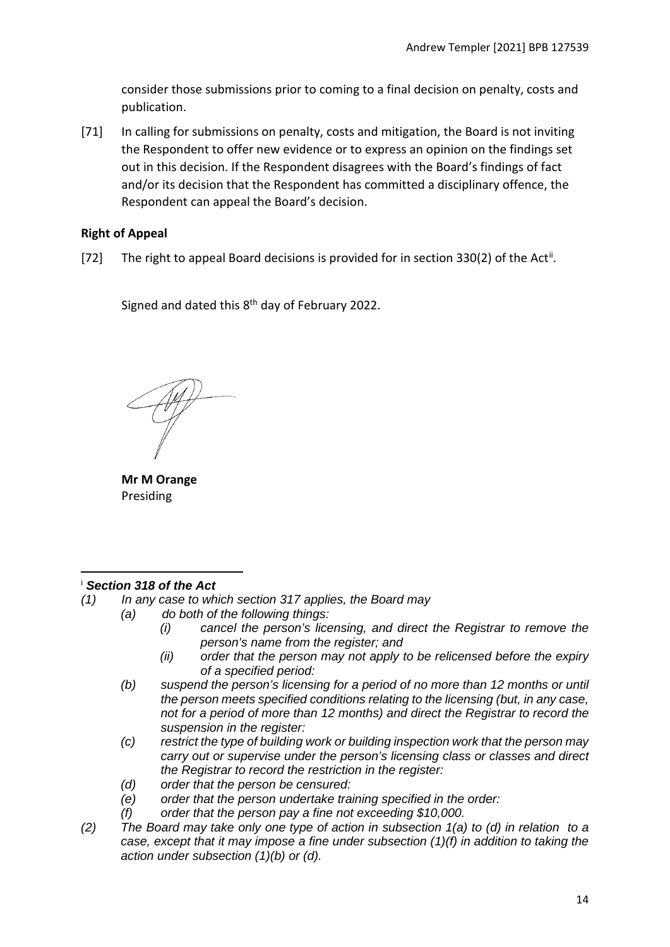consider those submissions prior to coming to a final decision on penalty, costs and publication.

[71] In calling for submissions on penalty, costs and mitigation, the Board is not inviting the Respondent to offer new evidence or to express an opinion on the findings set out in this decision. If the Respondent disagrees with the Board's findings of fact and/or its decision that the Respondent has committed a disciplinary offence, the Respondent can appeal the Board's decision.

## <span id="page-13-0"></span>**Right of Appeal**

[72] The right to appeal Board decisions is provided for in section 330(2) of the Act<sup>[ii](#page-14-0)</sup>.

Signed and dated this 8th day of February 2022.

**Mr M Orange** Presiding

#### <span id="page-13-1"></span><sup>i</sup> *Section 318 of the Act*

- *(1) In any case to which section 317 applies, the Board may*
	- *(a) do both of the following things:*
		- *(i) cancel the person's licensing, and direct the Registrar to remove the person's name from the register; and*
		- *(ii) order that the person may not apply to be relicensed before the expiry of a specified period:*
		- *(b) suspend the person's licensing for a period of no more than 12 months or until the person meets specified conditions relating to the licensing (but, in any case, not for a period of more than 12 months) and direct the Registrar to record the suspension in the register:*
		- *(c) restrict the type of building work or building inspection work that the person may carry out or supervise under the person's licensing class or classes and direct the Registrar to record the restriction in the register:*
		- *(d) order that the person be censured:*
		- *(e) order that the person undertake training specified in the order:*
		- *(f) order that the person pay a fine not exceeding \$10,000.*
- *(2) The Board may take only one type of action in subsection 1(a) to (d) in relation to a case, except that it may impose a fine under subsection (1)(f) in addition to taking the action under subsection (1)(b) or (d).*